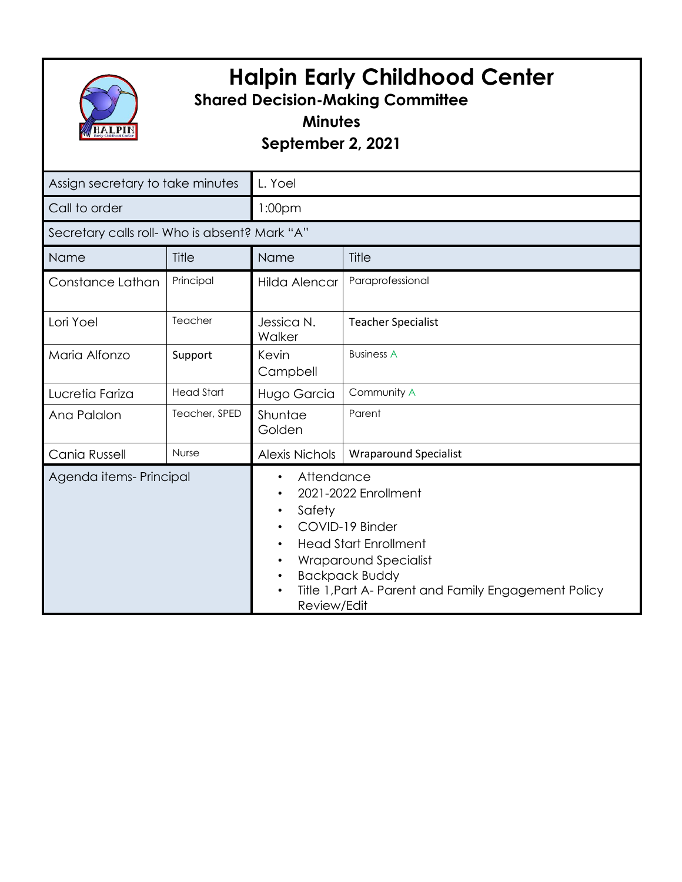

## **Halpin Early Childhood Center**

## **Shared Decision-Making Committee**

**Minutes**

**September 2, 2021**

| Assign secretary to take minutes              |                   | L. Yoel                                                                                                                                                                                                                                                                                                             |                              |
|-----------------------------------------------|-------------------|---------------------------------------------------------------------------------------------------------------------------------------------------------------------------------------------------------------------------------------------------------------------------------------------------------------------|------------------------------|
| Call to order                                 |                   | 1:00 <sub>pm</sub>                                                                                                                                                                                                                                                                                                  |                              |
| Secretary calls roll- Who is absent? Mark "A" |                   |                                                                                                                                                                                                                                                                                                                     |                              |
| Name                                          | Title             | Name                                                                                                                                                                                                                                                                                                                | Title                        |
| Constance Lathan                              | Principal         | Hilda Alencar                                                                                                                                                                                                                                                                                                       | Paraprofessional             |
| Lori Yoel                                     | Teacher           | Jessica N.<br>Walker                                                                                                                                                                                                                                                                                                | <b>Teacher Specialist</b>    |
| Maria Alfonzo                                 | Support           | Kevin<br>Campbell                                                                                                                                                                                                                                                                                                   | <b>Business A</b>            |
| Lucretia Fariza                               | <b>Head Start</b> | Hugo Garcia                                                                                                                                                                                                                                                                                                         | Community A                  |
| Ana Palalon                                   | Teacher, SPED     | Shuntae<br>Golden                                                                                                                                                                                                                                                                                                   | Parent                       |
| Cania Russell                                 | Nurse             | <b>Alexis Nichols</b>                                                                                                                                                                                                                                                                                               | <b>Wraparound Specialist</b> |
| Agenda items- Principal                       |                   | Attendance<br>$\bullet$<br>2021-2022 Enrollment<br>$\bullet$<br>Safety<br>$\bullet$<br>COVID-19 Binder<br>$\bullet$<br><b>Head Start Enrollment</b><br>$\bullet$<br>Wraparound Specialist<br>$\bullet$<br><b>Backpack Buddy</b><br>$\bullet$<br>Title 1, Part A- Parent and Family Engagement Policy<br>Review/Edit |                              |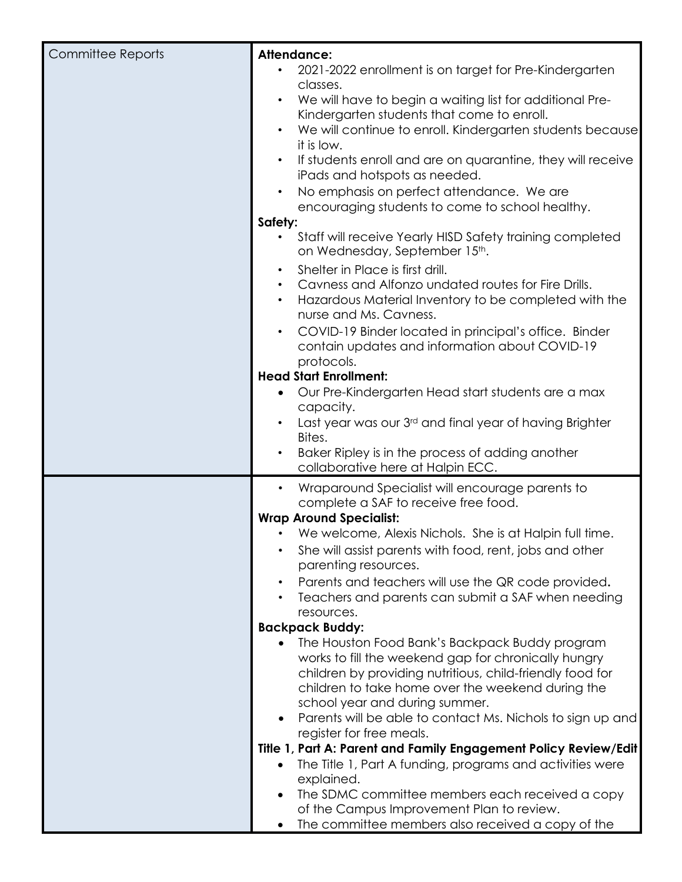| <b>Committee Reports</b> | <b>Attendance:</b>                                                       |  |
|--------------------------|--------------------------------------------------------------------------|--|
|                          | 2021-2022 enrollment is on target for Pre-Kindergarten                   |  |
|                          | classes.                                                                 |  |
|                          | We will have to begin a waiting list for additional Pre-<br>$\bullet$    |  |
|                          |                                                                          |  |
|                          | Kindergarten students that come to enroll.                               |  |
|                          | We will continue to enroll. Kindergarten students because                |  |
|                          | it is low.                                                               |  |
|                          | If students enroll and are on quarantine, they will receive<br>$\bullet$ |  |
|                          | iPads and hotspots as needed.                                            |  |
|                          | No emphasis on perfect attendance. We are                                |  |
|                          | encouraging students to come to school healthy.                          |  |
|                          | Safety:                                                                  |  |
|                          |                                                                          |  |
|                          | Staff will receive Yearly HISD Safety training completed<br>$\bullet$    |  |
|                          | on Wednesday, September 15th.                                            |  |
|                          | Shelter in Place is first drill.<br>$\bullet$                            |  |
|                          | Cavness and Alfonzo undated routes for Fire Drills.<br>$\bullet$         |  |
|                          | Hazardous Material Inventory to be completed with the<br>$\bullet$       |  |
|                          | nurse and Ms. Cavness.                                                   |  |
|                          | COVID-19 Binder located in principal's office. Binder<br>$\bullet$       |  |
|                          |                                                                          |  |
|                          | contain updates and information about COVID-19                           |  |
|                          | protocols.                                                               |  |
|                          | <b>Head Start Enrollment:</b>                                            |  |
|                          | Our Pre-Kindergarten Head start students are a max                       |  |
|                          | capacity.                                                                |  |
|                          | Last year was our 3rd and final year of having Brighter                  |  |
|                          | Bites.                                                                   |  |
|                          | Baker Ripley is in the process of adding another                         |  |
|                          | collaborative here at Halpin ECC.                                        |  |
|                          |                                                                          |  |
|                          | Wraparound Specialist will encourage parents to<br>$\bullet$             |  |
|                          | complete a SAF to receive free food.                                     |  |
|                          | <b>Wrap Around Specialist:</b>                                           |  |
|                          | We welcome, Alexis Nichols. She is at Halpin full time.                  |  |
|                          | She will assist parents with food, rent, jobs and other                  |  |
|                          | parenting resources.                                                     |  |
|                          |                                                                          |  |
|                          | Parents and teachers will use the QR code provided.<br>$\bullet$         |  |
|                          | Teachers and parents can submit a SAF when needing                       |  |
|                          | resources.                                                               |  |
|                          | <b>Backpack Buddy:</b>                                                   |  |
|                          | The Houston Food Bank's Backpack Buddy program<br>$\bullet$              |  |
|                          | works to fill the weekend gap for chronically hungry                     |  |
|                          | children by providing nutritious, child-friendly food for                |  |
|                          | children to take home over the weekend during the                        |  |
|                          | school year and during summer.                                           |  |
|                          | Parents will be able to contact Ms. Nichols to sign up and<br>$\bullet$  |  |
|                          | register for free meals.                                                 |  |
|                          |                                                                          |  |
|                          | Title 1, Part A: Parent and Family Engagement Policy Review/Edit         |  |
|                          | The Title 1, Part A funding, programs and activities were<br>$\bullet$   |  |
|                          | explained.                                                               |  |
|                          | The SDMC committee members each received a copy<br>$\bullet$             |  |
|                          | of the Campus Improvement Plan to review.                                |  |
|                          | The committee members also received a copy of the                        |  |